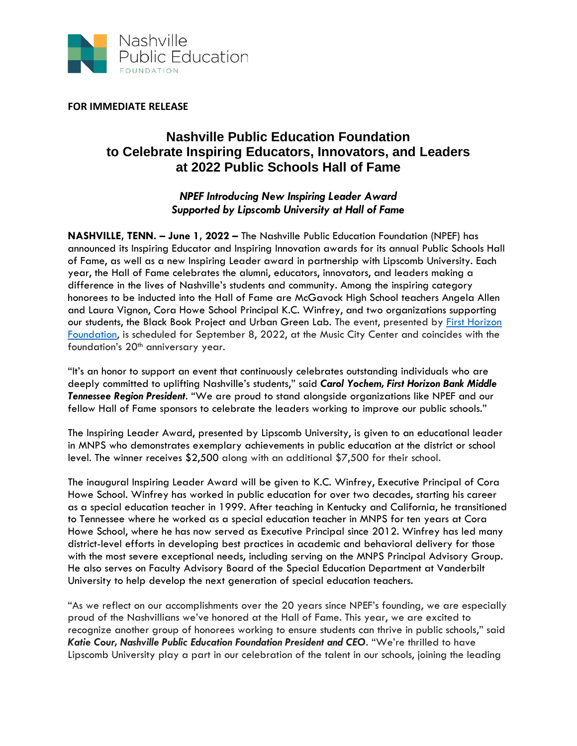

**FOR IMMEDIATE RELEASE**

## **Nashville Public Education Foundation to Celebrate Inspiring Educators, Innovators, and Leaders at 2022 Public Schools Hall of Fame**

*NPEF Introducing New Inspiring Leader Award Supported by Lipscomb University at Hall of Fame*

**NASHVILLE, TENN. – June 1, 2022 –** The Nashville Public Education Foundation (NPEF) has announced its Inspiring Educator and Inspiring Innovation awards for its annual Public Schools Hall of Fame, as well as a new Inspiring Leader award in partnership with Lipscomb University. Each year, the Hall of Fame celebrates the alumni, educators, innovators, and leaders making a difference in the lives of Nashville's students and community. Among the inspiring category honorees to be inducted into the Hall of Fame are McGavock High School teachers Angela Allen and Laura Vignon, Cora Howe School Principal K.C. Winfrey, and two organizations supporting our students, the Black Book Project and Urban Green Lab. The event, presented by [First Horizon](https://www.firsthorizonfoundation.com/)  [Foundation,](https://www.firsthorizonfoundation.com/) is scheduled for September 8, 2022, at the Music City Center and coincides with the foundation's 20<sup>th</sup> anniversary year.

"It's an honor to support an event that continuously celebrates outstanding individuals who are deeply committed to uplifting Nashville's students," said *Carol Yochem, First Horizon Bank Middle Tennessee Region President*. "We are proud to stand alongside organizations like NPEF and our fellow Hall of Fame sponsors to celebrate the leaders working to improve our public schools."

The Inspiring Leader Award, presented by Lipscomb University, is given to an educational leader in MNPS who demonstrates exemplary achievements in public education at the district or school level. The winner receives \$2,500 along with an additional \$7,500 for their school.

The inaugural Inspiring Leader Award will be given to K.C. Winfrey, Executive Principal of Cora Howe School. Winfrey has worked in public education for over two decades, starting his career as a special education teacher in 1999. After teaching in Kentucky and California, he transitioned to Tennessee where he worked as a special education teacher in MNPS for ten years at Cora Howe School, where he has now served as Executive Principal since 2012. Winfrey has led many district-level efforts in developing best practices in academic and behavioral delivery for those with the most severe exceptional needs, including serving on the MNPS Principal Advisory Group. He also serves on Faculty Advisory Board of the Special Education Department at Vanderbilt University to help develop the next generation of special education teachers.

"As we reflect on our accomplishments over the 20 years since NPEF's founding, we are especially proud of the Nashvillians we've honored at the Hall of Fame. This year, we are excited to recognize another group of honorees working to ensure students can thrive in public schools," said *Katie Cour, Nashville Public Education Foundation President and CEO*. "We're thrilled to have Lipscomb University play a part in our celebration of the talent in our schools, joining the leading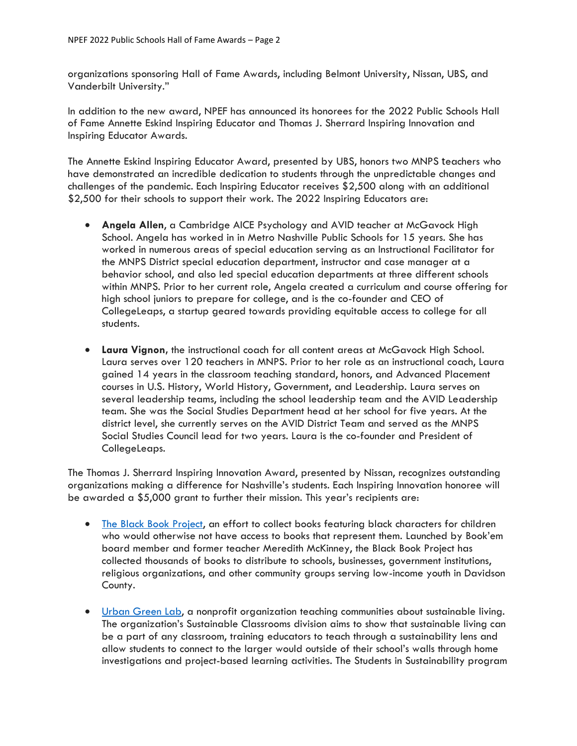organizations sponsoring Hall of Fame Awards, including Belmont University, Nissan, UBS, and Vanderbilt University."

In addition to the new award, NPEF has announced its honorees for the 2022 Public Schools Hall of Fame Annette Eskind Inspiring Educator and Thomas J. Sherrard Inspiring Innovation and Inspiring Educator Awards.

The Annette Eskind Inspiring Educator Award, presented by UBS, honors two MNPS teachers who have demonstrated an incredible dedication to students through the unpredictable changes and challenges of the pandemic. Each Inspiring Educator receives \$2,500 along with an additional \$2,500 for their schools to support their work. The 2022 Inspiring Educators are:

- **Angela Allen, a Cambridge AICE Psychology and AVID teacher at McGavock High** School. Angela has worked in in Metro Nashville Public Schools for 15 years. She has worked in numerous areas of special education serving as an Instructional Facilitator for the MNPS District special education department, instructor and case manager at a behavior school, and also led special education departments at three different schools within MNPS. Prior to her current role, Angela created a curriculum and course offering for high school juniors to prepare for college, and is the co-founder and CEO of CollegeLeaps, a startup geared towards providing equitable access to college for all students.
- **Laura Vignon,** the instructional coach for all content areas at McGavock High School. Laura serves over 120 teachers in MNPS. Prior to her role as an instructional coach, Laura gained 14 years in the classroom teaching standard, honors, and Advanced Placement courses in U.S. History, World History, Government, and Leadership. Laura serves on several leadership teams, including the school leadership team and the AVID Leadership team. She was the Social Studies Department head at her school for five years. At the district level, she currently serves on the AVID District Team and served as the MNPS Social Studies Council lead for two years. Laura is the co-founder and President of CollegeLeaps.

The Thomas J. Sherrard Inspiring Innovation Award, presented by Nissan, recognizes outstanding organizations making a difference for Nashville's students. Each Inspiring Innovation honoree will be awarded a \$5,000 grant to further their mission. This year's recipients are:

- [The Black Book Project,](https://bookem-kids.org/theblackbookproject/) an effort to collect books featuring black characters for children who would otherwise not have access to books that represent them. Launched by Book'em board member and former teacher Meredith McKinney, the Black Book Project has collected thousands of books to distribute to schools, businesses, government institutions, religious organizations, and other community groups serving low-income youth in Davidson County.
- [Urban Green Lab,](https://urbangreenlab.org/) a nonprofit organization teaching communities about sustainable living. The organization's Sustainable Classrooms division aims to show that sustainable living can be a part of any classroom, training educators to teach through a sustainability lens and allow students to connect to the larger would outside of their school's walls through home investigations and project-based learning activities. The Students in Sustainability program